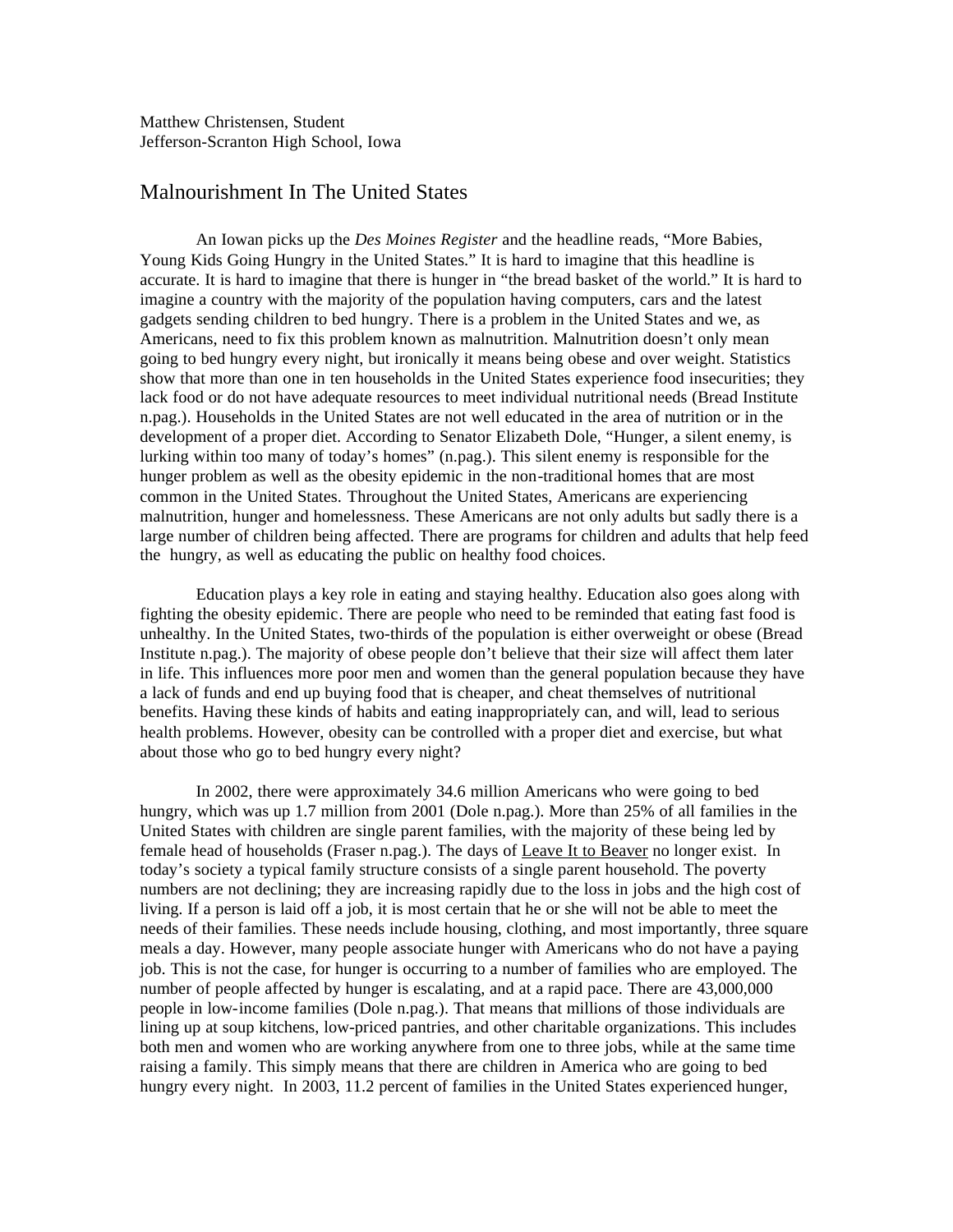Matthew Christensen, Student Jefferson-Scranton High School, Iowa

## Malnourishment In The United States

An Iowan picks up the *Des Moines Register* and the headline reads, "More Babies, Young Kids Going Hungry in the United States." It is hard to imagine that this headline is accurate. It is hard to imagine that there is hunger in "the bread basket of the world." It is hard to imagine a country with the majority of the population having computers, cars and the latest gadgets sending children to bed hungry. There is a problem in the United States and we, as Americans, need to fix this problem known as malnutrition. Malnutrition doesn't only mean going to bed hungry every night, but ironically it means being obese and over weight. Statistics show that more than one in ten households in the United States experience food insecurities; they lack food or do not have adequate resources to meet individual nutritional needs (Bread Institute n.pag.). Households in the United States are not well educated in the area of nutrition or in the development of a proper diet. According to Senator Elizabeth Dole, "Hunger, a silent enemy, is lurking within too many of today's homes" (n.pag.). This silent enemy is responsible for the hunger problem as well as the obesity epidemic in the non-traditional homes that are most common in the United States. Throughout the United States, Americans are experiencing malnutrition, hunger and homelessness. These Americans are not only adults but sadly there is a large number of children being affected. There are programs for children and adults that help feed the hungry, as well as educating the public on healthy food choices.

Education plays a key role in eating and staying healthy. Education also goes along with fighting the obesity epidemic. There are people who need to be reminded that eating fast food is unhealthy. In the United States, two-thirds of the population is either overweight or obese (Bread Institute n.pag.). The majority of obese people don't believe that their size will affect them later in life. This influences more poor men and women than the general population because they have a lack of funds and end up buying food that is cheaper, and cheat themselves of nutritional benefits. Having these kinds of habits and eating inappropriately can, and will, lead to serious health problems. However, obesity can be controlled with a proper diet and exercise, but what about those who go to bed hungry every night?

In 2002, there were approximately 34.6 million Americans who were going to bed hungry, which was up 1.7 million from 2001 (Dole n.pag.). More than 25% of all families in the United States with children are single parent families, with the majority of these being led by female head of households (Fraser n.pag.). The days of Leave It to Beaver no longer exist. In today's society a typical family structure consists of a single parent household. The poverty numbers are not declining; they are increasing rapidly due to the loss in jobs and the high cost of living. If a person is laid off a job, it is most certain that he or she will not be able to meet the needs of their families. These needs include housing, clothing, and most importantly, three square meals a day. However, many people associate hunger with Americans who do not have a paying job. This is not the case, for hunger is occurring to a number of families who are employed. The number of people affected by hunger is escalating, and at a rapid pace. There are 43,000,000 people in low-income families (Dole n.pag.). That means that millions of those individuals are lining up at soup kitchens, low-priced pantries, and other charitable organizations. This includes both men and women who are working anywhere from one to three jobs, while at the same time raising a family. This simply means that there are children in America who are going to bed hungry every night. In 2003, 11.2 percent of families in the United States experienced hunger,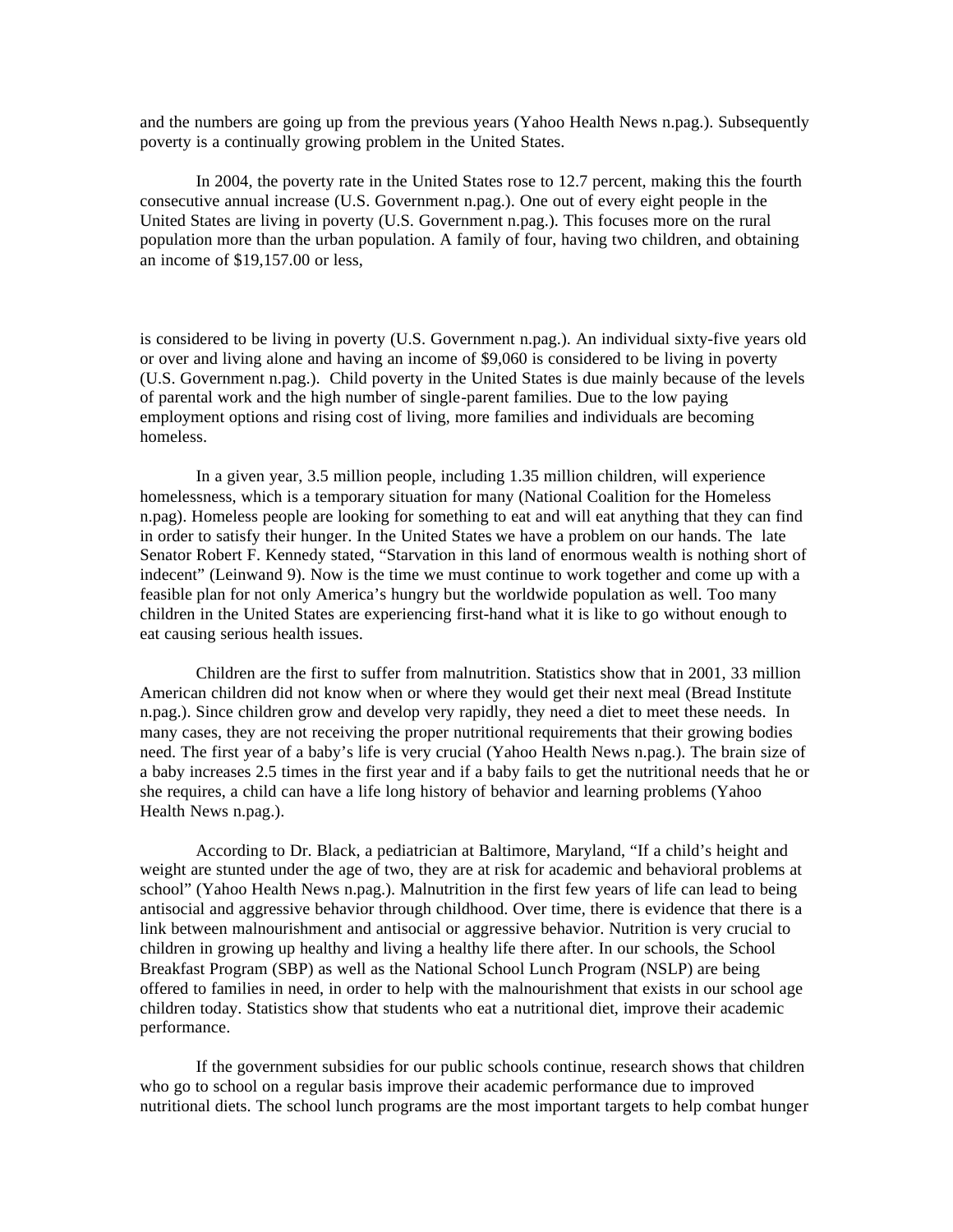and the numbers are going up from the previous years (Yahoo Health News n.pag.). Subsequently poverty is a continually growing problem in the United States.

In 2004, the poverty rate in the United States rose to 12.7 percent, making this the fourth consecutive annual increase (U.S. Government n.pag.). One out of every eight people in the United States are living in poverty (U.S. Government n.pag.). This focuses more on the rural population more than the urban population. A family of four, having two children, and obtaining an income of \$19,157.00 or less,

is considered to be living in poverty (U.S. Government n.pag.). An individual sixty-five years old or over and living alone and having an income of \$9,060 is considered to be living in poverty (U.S. Government n.pag.). Child poverty in the United States is due mainly because of the levels of parental work and the high number of single-parent families. Due to the low paying employment options and rising cost of living, more families and individuals are becoming homeless.

In a given year, 3.5 million people, including 1.35 million children, will experience homelessness, which is a temporary situation for many (National Coalition for the Homeless n.pag). Homeless people are looking for something to eat and will eat anything that they can find in order to satisfy their hunger. In the United States we have a problem on our hands. The late Senator Robert F. Kennedy stated, "Starvation in this land of enormous wealth is nothing short of indecent" (Leinwand 9). Now is the time we must continue to work together and come up with a feasible plan for not only America's hungry but the worldwide population as well. Too many children in the United States are experiencing first-hand what it is like to go without enough to eat causing serious health issues.

Children are the first to suffer from malnutrition. Statistics show that in 2001, 33 million American children did not know when or where they would get their next meal (Bread Institute n.pag.). Since children grow and develop very rapidly, they need a diet to meet these needs. In many cases, they are not receiving the proper nutritional requirements that their growing bodies need. The first year of a baby's life is very crucial (Yahoo Health News n.pag.). The brain size of a baby increases 2.5 times in the first year and if a baby fails to get the nutritional needs that he or she requires, a child can have a life long history of behavior and learning problems (Yahoo Health News n.pag.).

According to Dr. Black, a pediatrician at Baltimore, Maryland, "If a child's height and weight are stunted under the age of two, they are at risk for academic and behavioral problems at school" (Yahoo Health News n.pag.). Malnutrition in the first few years of life can lead to being antisocial and aggressive behavior through childhood. Over time, there is evidence that there is a link between malnourishment and antisocial or aggressive behavior. Nutrition is very crucial to children in growing up healthy and living a healthy life there after. In our schools, the School Breakfast Program (SBP) as well as the National School Lunch Program (NSLP) are being offered to families in need, in order to help with the malnourishment that exists in our school age children today. Statistics show that students who eat a nutritional diet, improve their academic performance.

If the government subsidies for our public schools continue, research shows that children who go to school on a regular basis improve their academic performance due to improved nutritional diets. The school lunch programs are the most important targets to help combat hunger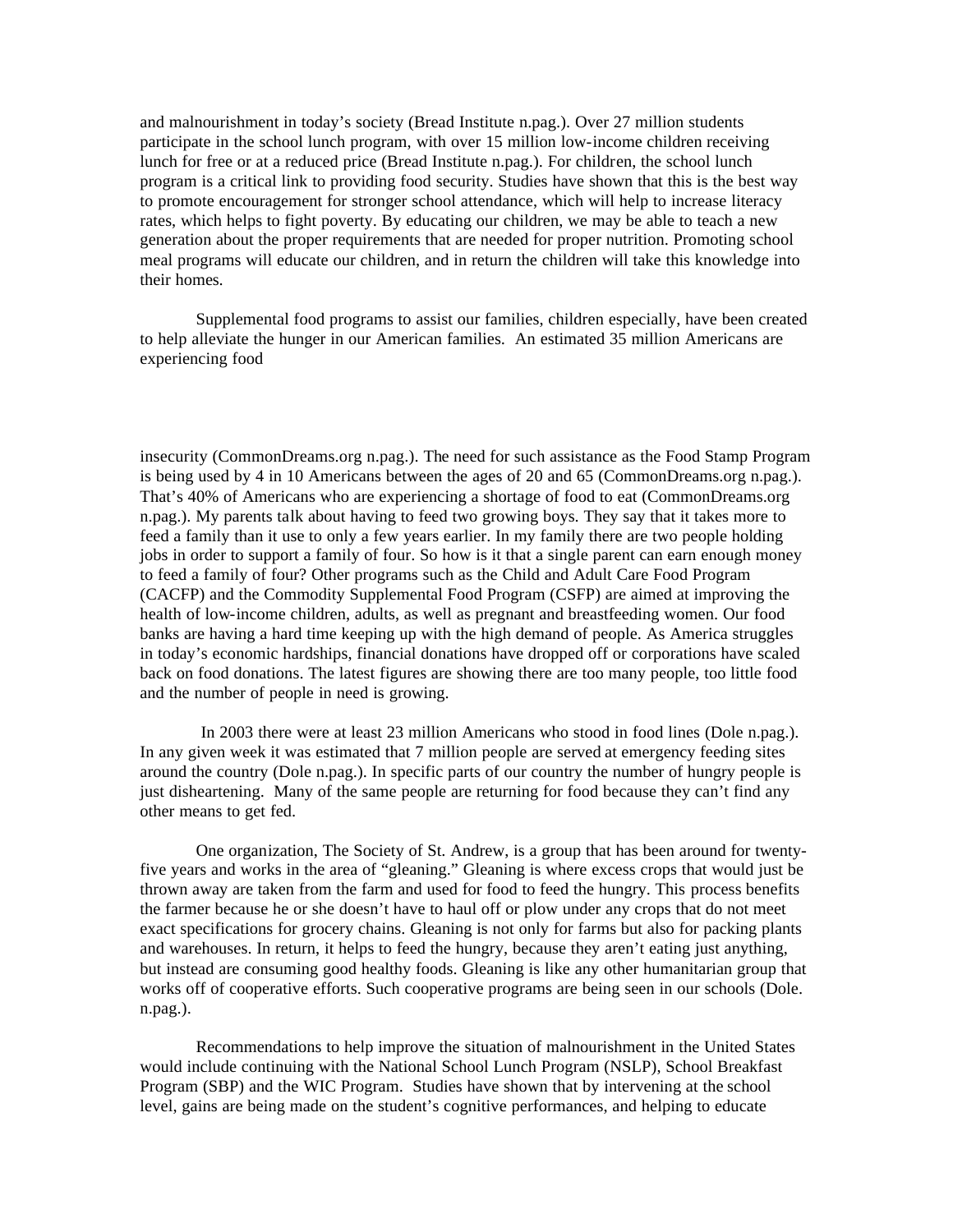and malnourishment in today's society (Bread Institute n.pag.). Over 27 million students participate in the school lunch program, with over 15 million low-income children receiving lunch for free or at a reduced price (Bread Institute n.pag.). For children, the school lunch program is a critical link to providing food security. Studies have shown that this is the best way to promote encouragement for stronger school attendance, which will help to increase literacy rates, which helps to fight poverty. By educating our children, we may be able to teach a new generation about the proper requirements that are needed for proper nutrition. Promoting school meal programs will educate our children, and in return the children will take this knowledge into their homes.

Supplemental food programs to assist our families, children especially, have been created to help alleviate the hunger in our American families. An estimated 35 million Americans are experiencing food

insecurity (CommonDreams.org n.pag.). The need for such assistance as the Food Stamp Program is being used by 4 in 10 Americans between the ages of 20 and 65 (CommonDreams.org n.pag.). That's 40% of Americans who are experiencing a shortage of food to eat (CommonDreams.org n.pag.). My parents talk about having to feed two growing boys. They say that it takes more to feed a family than it use to only a few years earlier. In my family there are two people holding jobs in order to support a family of four. So how is it that a single parent can earn enough money to feed a family of four? Other programs such as the Child and Adult Care Food Program (CACFP) and the Commodity Supplemental Food Program (CSFP) are aimed at improving the health of low-income children, adults, as well as pregnant and breastfeeding women. Our food banks are having a hard time keeping up with the high demand of people. As America struggles in today's economic hardships, financial donations have dropped off or corporations have scaled back on food donations. The latest figures are showing there are too many people, too little food and the number of people in need is growing.

 In 2003 there were at least 23 million Americans who stood in food lines (Dole n.pag.). In any given week it was estimated that 7 million people are served at emergency feeding sites around the country (Dole n.pag.). In specific parts of our country the number of hungry people is just disheartening. Many of the same people are returning for food because they can't find any other means to get fed.

One organization, The Society of St. Andrew, is a group that has been around for twentyfive years and works in the area of "gleaning." Gleaning is where excess crops that would just be thrown away are taken from the farm and used for food to feed the hungry. This process benefits the farmer because he or she doesn't have to haul off or plow under any crops that do not meet exact specifications for grocery chains. Gleaning is not only for farms but also for packing plants and warehouses. In return, it helps to feed the hungry, because they aren't eating just anything, but instead are consuming good healthy foods. Gleaning is like any other humanitarian group that works off of cooperative efforts. Such cooperative programs are being seen in our schools (Dole. n.pag.).

Recommendations to help improve the situation of malnourishment in the United States would include continuing with the National School Lunch Program (NSLP), School Breakfast Program (SBP) and the WIC Program. Studies have shown that by intervening at the school level, gains are being made on the student's cognitive performances, and helping to educate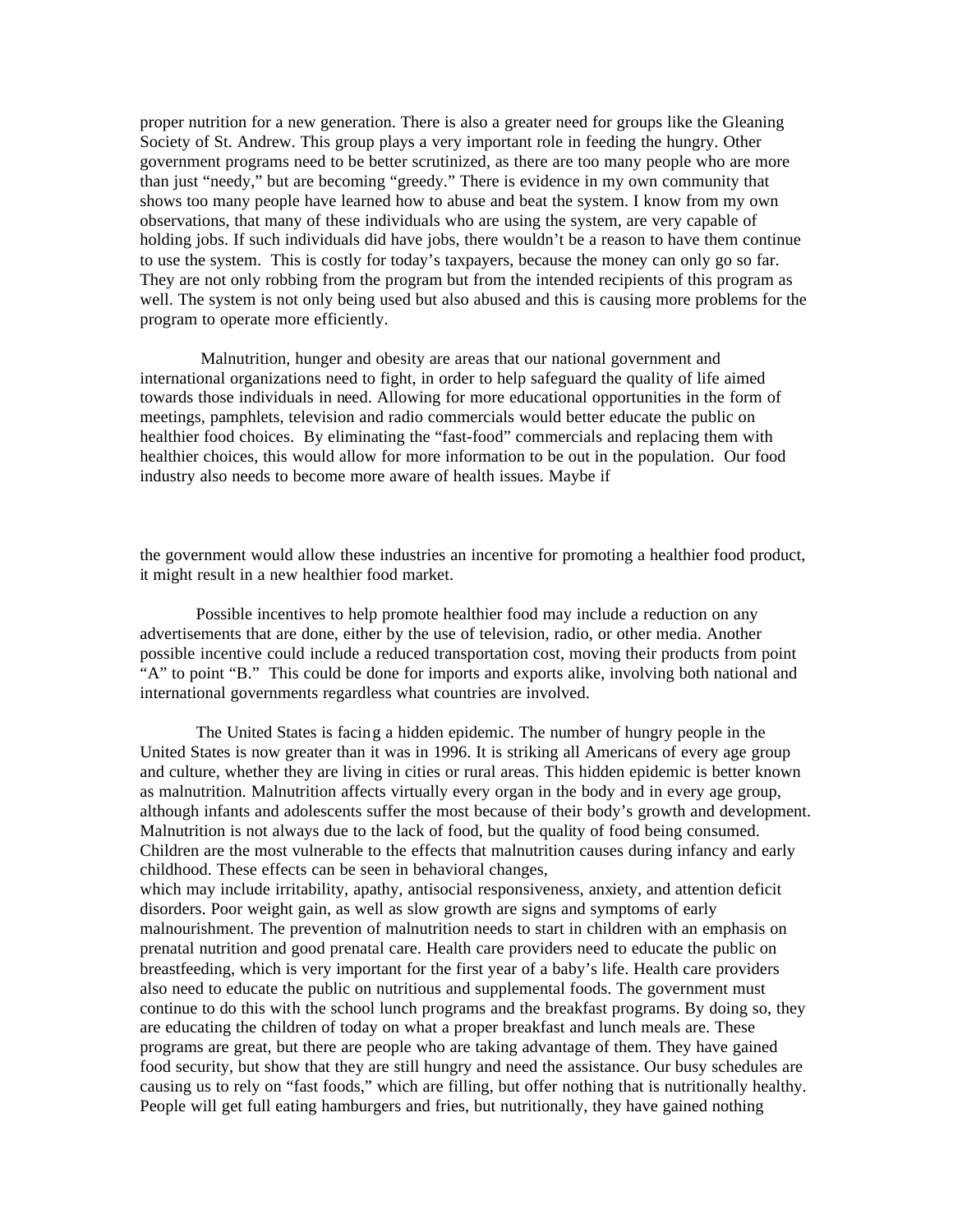proper nutrition for a new generation. There is also a greater need for groups like the Gleaning Society of St. Andrew. This group plays a very important role in feeding the hungry. Other government programs need to be better scrutinized, as there are too many people who are more than just "needy," but are becoming "greedy." There is evidence in my own community that shows too many people have learned how to abuse and beat the system. I know from my own observations, that many of these individuals who are using the system, are very capable of holding jobs. If such individuals did have jobs, there wouldn't be a reason to have them continue to use the system. This is costly for today's taxpayers, because the money can only go so far. They are not only robbing from the program but from the intended recipients of this program as well. The system is not only being used but also abused and this is causing more problems for the program to operate more efficiently.

 Malnutrition, hunger and obesity are areas that our national government and international organizations need to fight, in order to help safeguard the quality of life aimed towards those individuals in need. Allowing for more educational opportunities in the form of meetings, pamphlets, television and radio commercials would better educate the public on healthier food choices. By eliminating the "fast-food" commercials and replacing them with healthier choices, this would allow for more information to be out in the population. Our food industry also needs to become more aware of health issues. Maybe if

the government would allow these industries an incentive for promoting a healthier food product, it might result in a new healthier food market.

Possible incentives to help promote healthier food may include a reduction on any advertisements that are done, either by the use of television, radio, or other media. Another possible incentive could include a reduced transportation cost, moving their products from point "A" to point "B." This could be done for imports and exports alike, involving both national and international governments regardless what countries are involved.

The United States is facing a hidden epidemic. The number of hungry people in the United States is now greater than it was in 1996. It is striking all Americans of every age group and culture, whether they are living in cities or rural areas. This hidden epidemic is better known as malnutrition. Malnutrition affects virtually every organ in the body and in every age group, although infants and adolescents suffer the most because of their body's growth and development. Malnutrition is not always due to the lack of food, but the quality of food being consumed. Children are the most vulnerable to the effects that malnutrition causes during infancy and early childhood. These effects can be seen in behavioral changes,

which may include irritability, apathy, antisocial responsiveness, anxiety, and attention deficit disorders. Poor weight gain, as well as slow growth are signs and symptoms of early malnourishment. The prevention of malnutrition needs to start in children with an emphasis on prenatal nutrition and good prenatal care. Health care providers need to educate the public on breastfeeding, which is very important for the first year of a baby's life. Health care providers also need to educate the public on nutritious and supplemental foods. The government must continue to do this with the school lunch programs and the breakfast programs. By doing so, they are educating the children of today on what a proper breakfast and lunch meals are. These programs are great, but there are people who are taking advantage of them. They have gained food security, but show that they are still hungry and need the assistance. Our busy schedules are causing us to rely on "fast foods," which are filling, but offer nothing that is nutritionally healthy. People will get full eating hamburgers and fries, but nutritionally, they have gained nothing